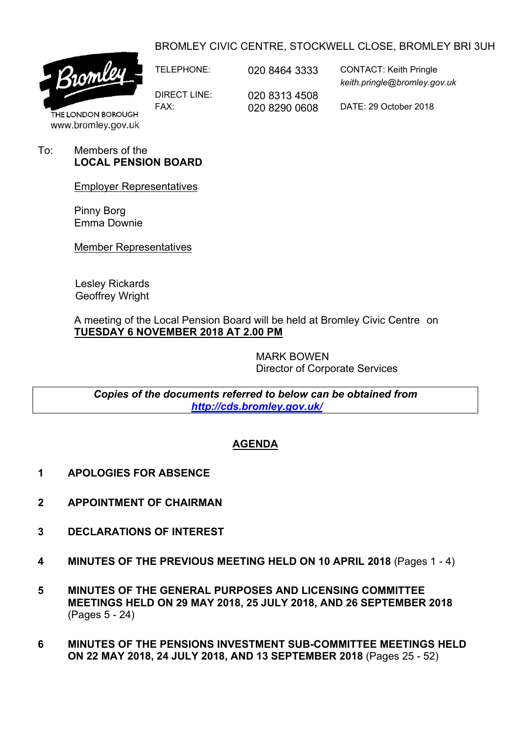## BROMLEY CIVIC CENTRE, STOCKWELL CLOSE, BROMLEY BRI 3UH



DIRECT LINE: 020 8313 4508

TELEPHONE: 020 8464 3333 CONTACT: Keith Pringle *keith.pringle@bromley.gov.uk*

FAX: 020 8290 0608 DATE: 29 October 2018

THE LONDON BOROUGH www.bromley.gov.uk

To: Members of the **LOCAL PENSION BOARD**

Employer Representatives

Pinny Borg Emma Downie

Member Representatives

Lesley Rickards Geoffrey Wright

A meeting of the Local Pension Board will be held at Bromley Civic Centre on **TUESDAY 6 NOVEMBER 2018 AT 2.00 PM**

> MARK BOWEN Director of Corporate Services

*Copies of the documents referred to below can be obtained from <http://cds.bromley.gov.uk/>*

# **AGENDA**

- **1 APOLOGIES FOR ABSENCE**
- **2 APPOINTMENT OF CHAIRMAN**
- **3 DECLARATIONS OF INTEREST**
- **4 MINUTES OF THE PREVIOUS MEETING HELD ON 10 APRIL 2018** (Pages 1 4)
- **5 MINUTES OF THE GENERAL PURPOSES AND LICENSING COMMITTEE MEETINGS HELD ON 29 MAY 2018, 25 JULY 2018, AND 26 SEPTEMBER 2018** (Pages 5 - 24)
- **6 MINUTES OF THE PENSIONS INVESTMENT SUB-COMMITTEE MEETINGS HELD ON 22 MAY 2018, 24 JULY 2018, AND 13 SEPTEMBER 2018** (Pages 25 - 52)